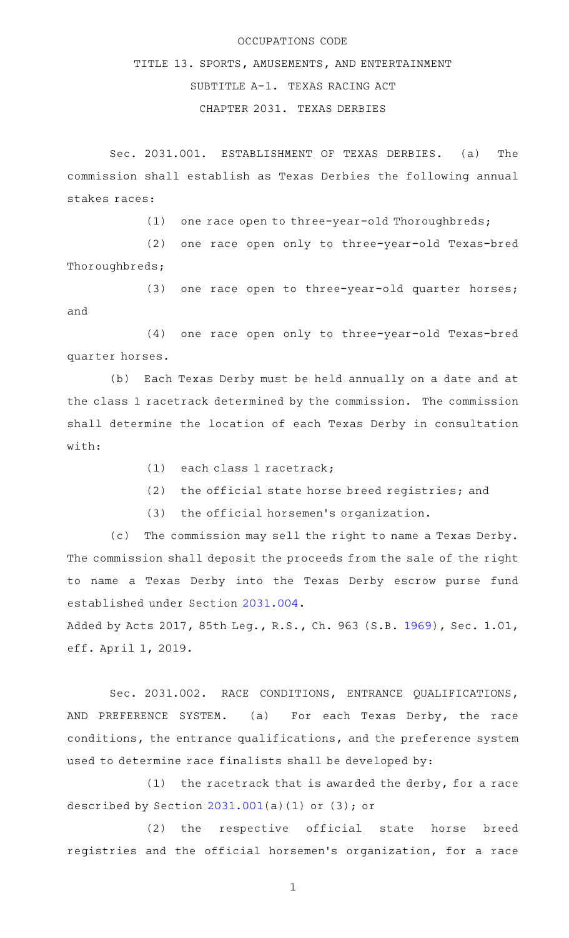## OCCUPATIONS CODE

## TITLE 13. SPORTS, AMUSEMENTS, AND ENTERTAINMENT SUBTITLE A-1. TEXAS RACING ACT CHAPTER 2031. TEXAS DERBIES

Sec. 2031.001. ESTABLISHMENT OF TEXAS DERBIES. (a) The commission shall establish as Texas Derbies the following annual stakes races:

(1) one race open to three-year-old Thoroughbreds;

(2) one race open only to three-year-old Texas-bred Thoroughbreds;

(3) one race open to three-year-old quarter horses; and

(4) one race open only to three-year-old Texas-bred quarter horses.

(b) Each Texas Derby must be held annually on a date and at the class 1 racetrack determined by the commission. The commission shall determine the location of each Texas Derby in consultation with:

(1) each class 1 racetrack;

(2) the official state horse breed registries; and

(3) the official horsemen's organization.

(c) The commission may sell the right to name a Texas Derby. The commission shall deposit the proceeds from the sale of the right to name a Texas Derby into the Texas Derby escrow purse fund established under Section [2031.004](http://www.statutes.legis.state.tx.us/GetStatute.aspx?Code=OC&Value=2031.004).

Added by Acts 2017, 85th Leg., R.S., Ch. 963 (S.B. [1969](http://www.legis.state.tx.us/tlodocs/85R/billtext/html/SB01969F.HTM)), Sec. 1.01, eff. April 1, 2019.

Sec. 2031.002. RACE CONDITIONS, ENTRANCE QUALIFICATIONS, AND PREFERENCE SYSTEM. (a) For each Texas Derby, the race conditions, the entrance qualifications, and the preference system used to determine race finalists shall be developed by:

 $(1)$  the racetrack that is awarded the derby, for a race described by Section  $2031.001(a)(1)$  $2031.001(a)(1)$  or  $(3)$ ; or

(2) the respective official state horse breed registries and the official horsemen 's organization, for a race

1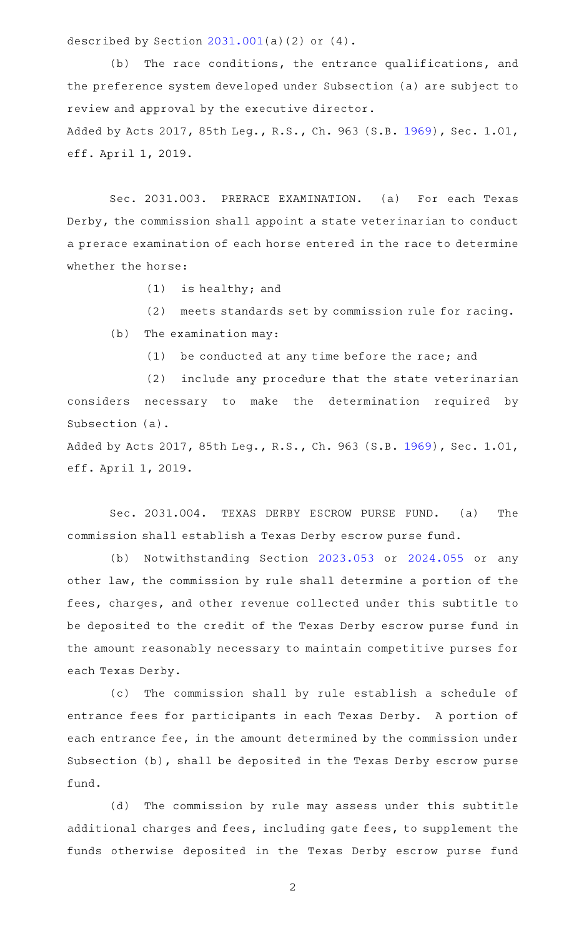described by Section [2031.001](http://www.statutes.legis.state.tx.us/GetStatute.aspx?Code=OC&Value=2031.001)(a)(2) or (4).

 $(b)$  The race conditions, the entrance qualifications, and the preference system developed under Subsection (a) are subject to review and approval by the executive director. Added by Acts 2017, 85th Leg., R.S., Ch. 963 (S.B. [1969](http://www.legis.state.tx.us/tlodocs/85R/billtext/html/SB01969F.HTM)), Sec. 1.01, eff. April 1, 2019.

Sec. 2031.003. PRERACE EXAMINATION. (a) For each Texas Derby, the commission shall appoint a state veterinarian to conduct a prerace examination of each horse entered in the race to determine whether the horse:

 $(1)$  is healthy; and

(2) meets standards set by commission rule for racing.  $(b)$  The examination may:

 $(1)$  be conducted at any time before the race; and

(2) include any procedure that the state veterinarian considers necessary to make the determination required by Subsection (a).

Added by Acts 2017, 85th Leg., R.S., Ch. 963 (S.B. [1969](http://www.legis.state.tx.us/tlodocs/85R/billtext/html/SB01969F.HTM)), Sec. 1.01, eff. April 1, 2019.

Sec. 2031.004. TEXAS DERBY ESCROW PURSE FUND. (a) The commission shall establish a Texas Derby escrow purse fund.

(b) Notwithstanding Section [2023.053](http://www.statutes.legis.state.tx.us/GetStatute.aspx?Code=OC&Value=2023.053) or [2024.055](http://www.statutes.legis.state.tx.us/GetStatute.aspx?Code=OC&Value=2024.055) or any other law, the commission by rule shall determine a portion of the fees, charges, and other revenue collected under this subtitle to be deposited to the credit of the Texas Derby escrow purse fund in the amount reasonably necessary to maintain competitive purses for each Texas Derby.

(c) The commission shall by rule establish a schedule of entrance fees for participants in each Texas Derby. A portion of each entrance fee, in the amount determined by the commission under Subsection (b), shall be deposited in the Texas Derby escrow purse fund.

(d) The commission by rule may assess under this subtitle additional charges and fees, including gate fees, to supplement the funds otherwise deposited in the Texas Derby escrow purse fund

2